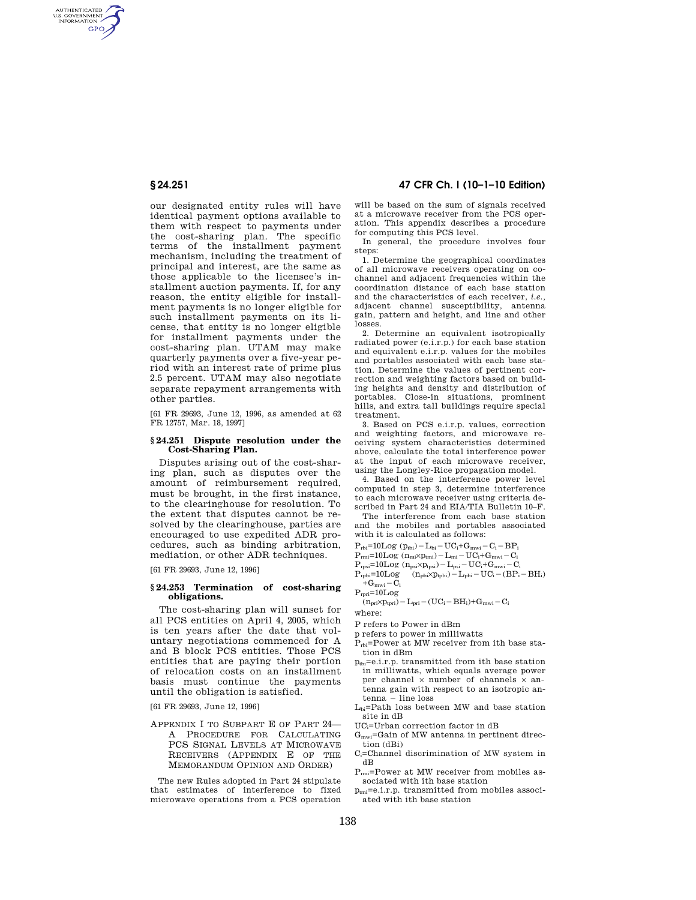AUTHENTICATED<br>U.S. GOVERNMENT<br>INFORMATION **GPO** 

> our designated entity rules will have identical payment options available to them with respect to payments under the cost-sharing plan. The specific terms of the installment payment mechanism, including the treatment of principal and interest, are the same as those applicable to the licensee's installment auction payments. If, for any reason, the entity eligible for installment payments is no longer eligible for such installment payments on its license, that entity is no longer eligible for installment payments under the cost-sharing plan. UTAM may make quarterly payments over a five-year period with an interest rate of prime plus 2.5 percent. UTAM may also negotiate separate repayment arrangements with other parties.

[61 FR 29693, June 12, 1996, as amended at 62 FR 12757, Mar. 18, 1997]

### **§ 24.251 Dispute resolution under the Cost-Sharing Plan.**

Disputes arising out of the cost-sharing plan, such as disputes over the amount of reimbursement required, must be brought, in the first instance, to the clearinghouse for resolution. To the extent that disputes cannot be resolved by the clearinghouse, parties are encouraged to use expedited ADR procedures, such as binding arbitration, mediation, or other ADR techniques.

[61 FR 29693, June 12, 1996]

## **§ 24.253 Termination of cost-sharing obligations.**

The cost-sharing plan will sunset for all PCS entities on April 4, 2005, which is ten years after the date that voluntary negotiations commenced for A and B block PCS entities. Those PCS entities that are paying their portion of relocation costs on an installment basis must continue the payments until the obligation is satisfied.

[61 FR 29693, June 12, 1996]

APPENDIX I TO SUBPART E OF PART 24— A PROCEDURE FOR CALCULATING PCS SIGNAL LEVELS AT MICROWAVE RECEIVERS (APPENDIX E OF THE MEMORANDUM OPINION AND ORDER)

The new Rules adopted in Part 24 stipulate that estimates of interference to fixed microwave operations from a PCS operation

## **§ 24.251 47 CFR Ch. I (10–1–10 Edition)**

will be based on the sum of signals received at a microwave receiver from the PCS operation. This appendix describes a procedure for computing this PCS level.

In general, the procedure involves four steps:

1. Determine the geographical coordinates of all microwave receivers operating on cochannel and adjacent frequencies within the coordination distance of each base station and the characteristics of each receiver, *i.e.,*  adjacent channel susceptibility, antenna gain, pattern and height, and line and other losses.

2. Determine an equivalent isotropically radiated power (e.i.r.p.) for each base station and equivalent e.i.r.p. values for the mobiles and portables associated with each base station. Determine the values of pertinent correction and weighting factors based on building heights and density and distribution of portables. Close-in situations, prominent hills, and extra tall buildings require special treatment.

3. Based on PCS e.i.r.p. values, correction and weighting factors, and microwave receiving system characteristics determined above, calculate the total interference power at the input of each microwave receiver, using the Longley-Rice propagation model.

4. Based on the interference power level computed in step 3, determine interference to each microwave receiver using criteria described in Part 24 and EIA/TIA Bulletin 10–F.

The interference from each base station and the mobiles and portables associated with it is calculated as follows:

 $P_{rbi}=10Log (p_{tbi})-L_{bi}-UC_i+G_{mwi}-C_i-BP_i$ 

- $P_{rmi}=10Log (n_{mi}\times p_{tmi})-L_{mi}-UC_i+G_{mwi}-C_i$
- 
- $P_{\text{rpsi}}=10Log (n_{\text{psi}}\times p_{\text{tpsi}})-L_{\text{psi}}-UC_i+G_{\text{mwi}}-C_i$  $P_{\text{rphi}} = 10 \text{Log}$   $(n_{\text{pbi}} \times p_{\text{tpbi}}) - L_{\text{pbi}} - \text{UC}_{\text{i}} - (\text{BP}_{\text{i}} - \text{BH}_{\text{i}})$  $+G<sub>mwi</sub> - C<sub>i</sub>$

 $P_{rpri}=10Log$ 

 $(n_{pri}\times p_{tpri}) - L_{pri} - (UC_i - BH_i) + G_{mwi} - C_i$ 

where:

P refers to Power in dBm

- p refers to power in milliwatts
- P<sub>rbi</sub>=Power at MW receiver from ith base station in dBm
- $p_{\text{th}}=e.i.r.p.$  transmitted from ith base station in milliwatts, which equals average power per channel  $\times$  number of channels  $\times$  antenna gain with respect to an isotropic an $tenna - line loss$
- Lbi=Path loss between MW and base station site in dB

UCi=Urban correction factor in dB

- Gmwi=Gain of MW antenna in pertinent direction (dBi)
- Ci=Channel discrimination of MW system in .<br>dB
- Prmi=Power at MW receiver from mobiles associated with ith base station
- $p_{\text{tmi}}=e.i.r.p.$  transmitted from mobiles associated with ith base station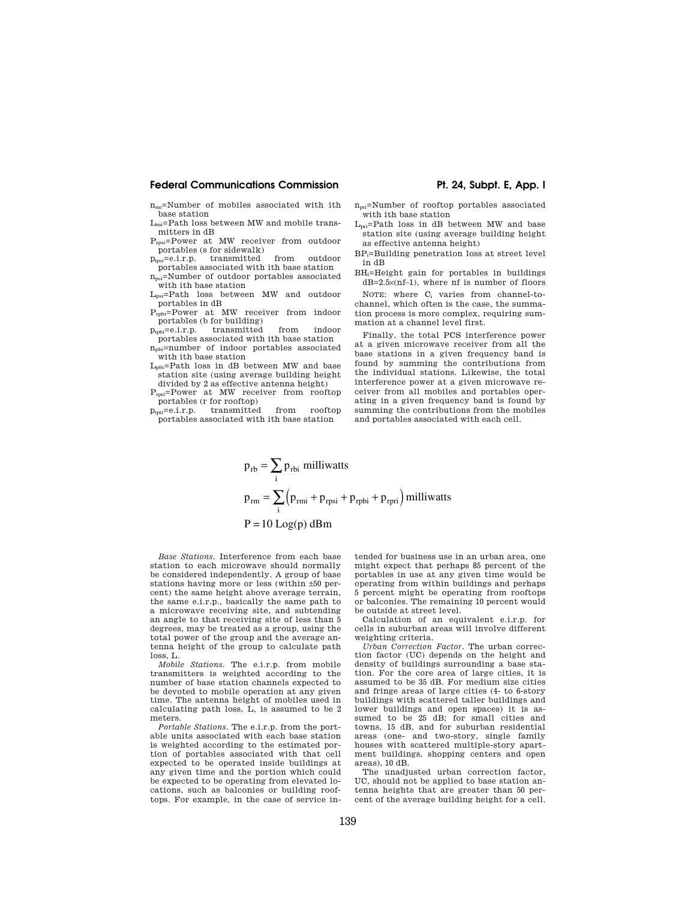## **Federal Communications Commission Pt. 24, Subpt. E, App. I**

 $n_m =$ Number of mobiles associated with ith base station

 $L_m$ =Path loss between MW and mobile transmitters in dB

Prpsi=Power at MW receiver from outdoor portables (s for sidewalk)<br>  $_{\text{ns}}=e.i.r.p.$  transmitted

 $p_{\text{tpsi}} = e.i.r.p.$  transmitted from outdoor portables associated with ith base station npsi=Number of outdoor portables associated

with ith base station Lpsi=Path loss between MW and outdoor

portables in dB

Prpbi=Power at MW receiver from indoor portables (b for building)<br> $p_{\text{tph}} = e.i.r.p.$  transmitted

 $p_{\text{tph}} = e.i.r.p.$  transmitted from indoor portables associated with ith base station

npbi=number of indoor portables associated with ith base station  $L_{\text{obj}}$ =Path loss in dB between MW and base

station site (using average building height divided by 2 as effective antenna height)

Prpri=Power at MW receiver from rooftop portables (r for rooftop)<br> $p_{\text{tpri}}=e.i.r.p.$  transmitted

transmitted from rooftop portables associated with ith base station

- npri=Number of rooftop portables associated with ith base station
- Lpri=Path loss in dB between MW and base station site (using average building height as effective antenna height)
- BPi=Building penetration loss at street level in dB
- BHi=Height gain for portables in buildings dB=2.5×(nf–1), where nf is number of floors

NOTE: where C<sup>i</sup> varies from channel-tochannel, which often is the case, the summation process is more complex, requiring summation at a channel level first.

Finally, the total PCS interference power at a given microwave receiver from all the base stations in a given frequency band is found by summing the contributions from the individual stations. Likewise, the total interference power at a given microwave receiver from all mobiles and portables operating in a given frequency band is found by summing the contributions from the mobiles and portables associated with each cell.

$$
p_{rb} = \sum_{i} p_{rbi} \text{ milliwatts}
$$
  
\n
$$
p_{rm} = \sum_{i} (p_{rmi} + p_{rpsi} + p_{rphi} + p_{rpri}) \text{ milliwatts}
$$
  
\n
$$
P = 10 \text{ Log}(p) \text{ dBm}
$$

*Base Stations.* Interference from each base station to each microwave should normally be considered independently. A group of base stations having more or less (within ±50 percent) the same height above average terrain, the same e.i.r.p., basically the same path to a microwave receiving site, and subtending an angle to that receiving site of less than 5 degrees, may be treated as a group, using the total power of the group and the average antenna height of the group to calculate path loss, L.

*Mobile Stations.* The e.i.r.p. from mobile transmitters is weighted according to the number of base station channels expected to be devoted to mobile operation at any given time. The antenna height of mobiles used in calculating path loss, L, is assumed to be 2 meters.

*Portable Stations.* The e.i.r.p. from the portable units associated with each base station is weighted according to the estimated portion of portables associated with that cell expected to be operated inside buildings at any given time and the portion which could be expected to be operating from elevated locations, such as balconies or building rooftops. For example, in the case of service intended for business use in an urban area, one might expect that perhaps 85 percent of the portables in use at any given time would be operating from within buildings and perhaps 5 percent might be operating from rooftops or balconies. The remaining 10 percent would be outside at street level.

Calculation of an equivalent e.i.r.p. for cells in suburban areas will involve different weighting criteria.

*Urban Correction Factor.* The urban correction factor (UC) depends on the height and density of buildings surrounding a base station. For the core area of large cities, it is assumed to be 35 dB. For medium size cities and fringe areas of large cities (4- to 6-story buildings with scattered taller buildings and lower buildings and open spaces) it is assumed to be 25 dB; for small cities and towns, 15 dB, and for suburban residential areas (one- and two-story, single family houses with scattered multiple-story apartment buildings, shopping centers and open areas), 10 dB.

The unadjusted urban correction factor, UC, should not be applied to base station antenna heights that are greater than 50 percent of the average building height for a cell.